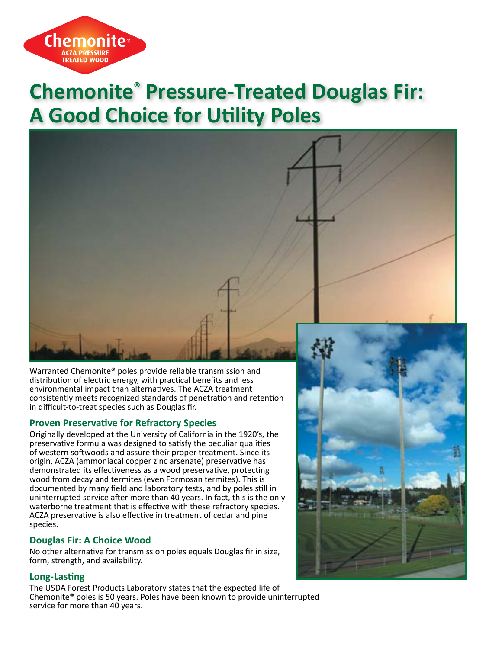

# **Chemonite® Pressure-Treated Douglas Fir: A Good Choice for Utility Poles**



Warranted Chemonite® poles provide reliable transmission and distribution of electric energy, with practical benefits and less environmental impact than alternatives. The ACZA treatment consistently meets recognized standards of penetration and retention in difficult-to-treat species such as Douglas fir.

# **Proven Preservative for Refractory Species**

Originally developed at the University of California in the 1920's, the preservative formula was designed to satisfy the peculiar qualities of western softwoods and assure their proper treatment. Since its origin, ACZA (ammoniacal copper zinc arsenate) preservative has demonstrated its effectiveness as a wood preservative, protecting wood from decay and termites (even Formosan termites). This is documented by many field and laboratory tests, and by poles still in uninterrupted service after more than 40 years. In fact, this is the only waterborne treatment that is effective with these refractory species. ACZA preservative is also effective in treatment of cedar and pine species.

# **Douglas Fir: A Choice Wood**

No other alternative for transmission poles equals Douglas fir in size, form, strength, and availability.

#### **Long-Lasting**

The USDA Forest Products Laboratory states that the expected life of Chemonite® poles is 50 years. Poles have been known to provide uninterrupted service for more than 40 years.